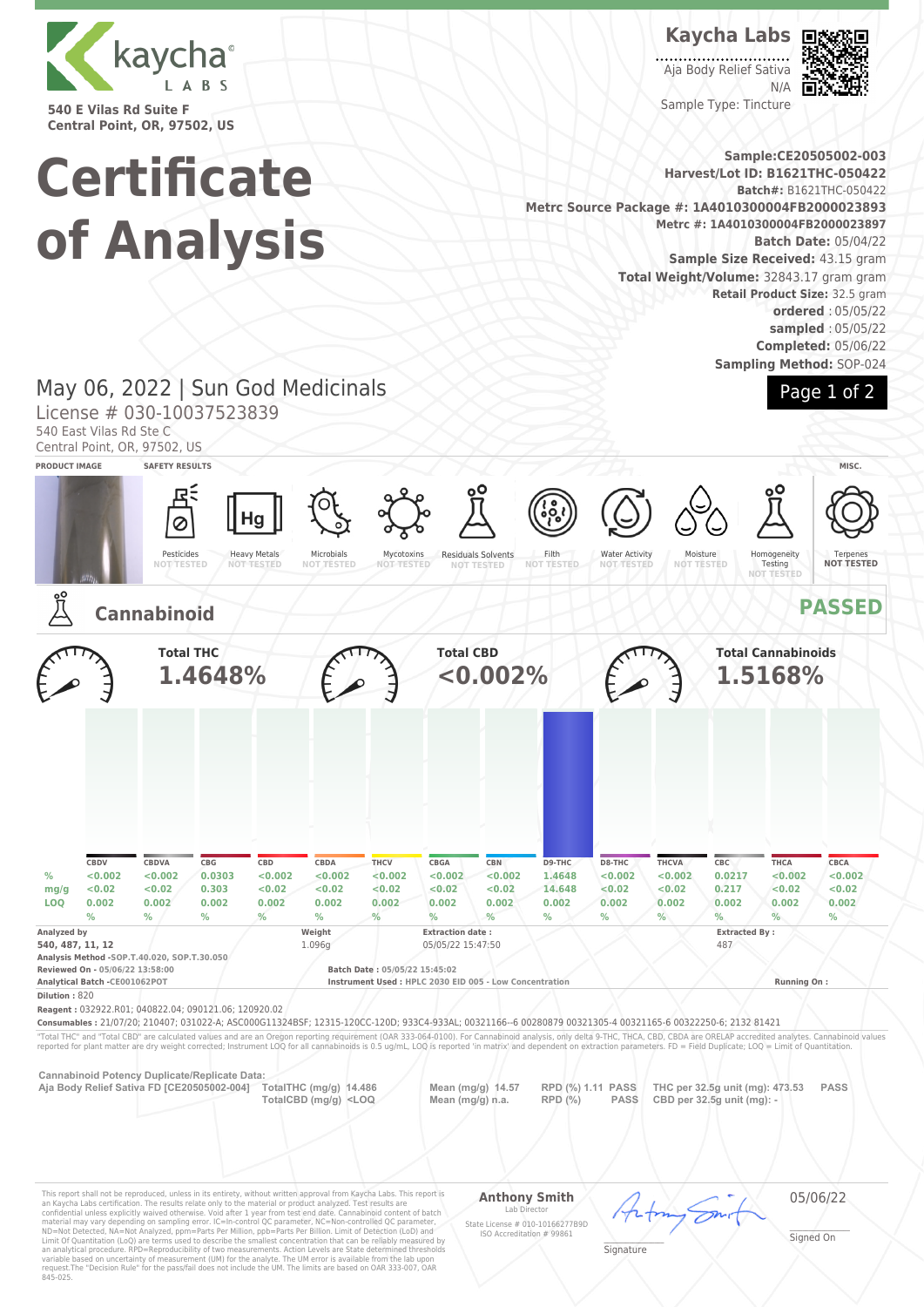

**540 E Vilas Rd Suite F Central Point, OR, 97502, US**

**Certificate**

**of Analysis**

## **Kaycha Labs**

Aja Body Relief Sativa N/A Sample Type: Tincture



**Sample:CE20505002-003 Harvest/Lot ID: B1621THC-050422 Batch#:** B1621THC-050422 **Metrc Source Package #: 1A4010300004FB2000023893 Metrc #: 1A4010300004FB2000023897 Batch Date:** 05/04/22 **Sample Size Received:** 43.15 gram **Total Weight/Volume:** 32843.17 gram gram **Retail Product Size:** 32.5 gram **ordered** : 05/05/22 **sampled** : 05/05/22 **Completed:** 05/06/22 **Sampling Method:** SOP-024

Page 1 of 2

# May 06, 2022 | Sun God Medicinals

License # 030-10037523839

540 East Vilas Rd Ste C

Central Point, OR, 97502, US